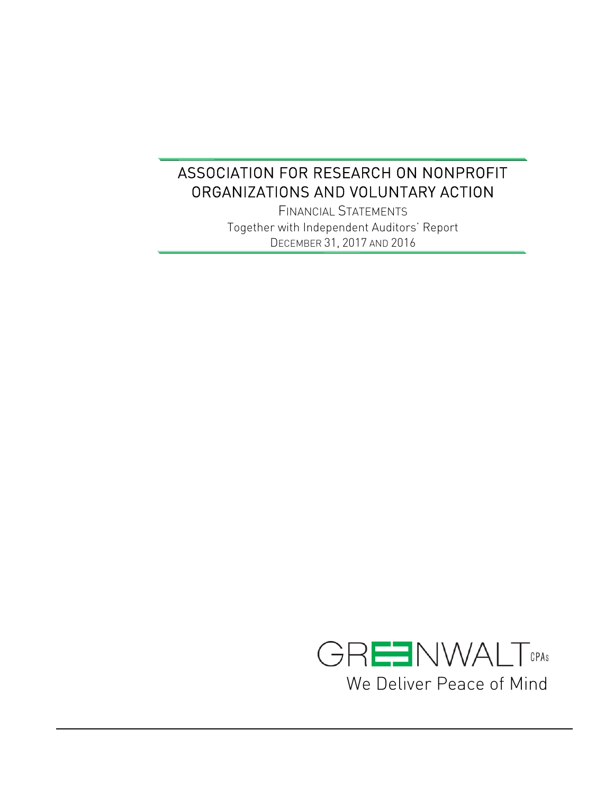FINANCIAL STATEMENTS Together with Independent Auditors' Report DECEMBER 31, 2017 AND 2016

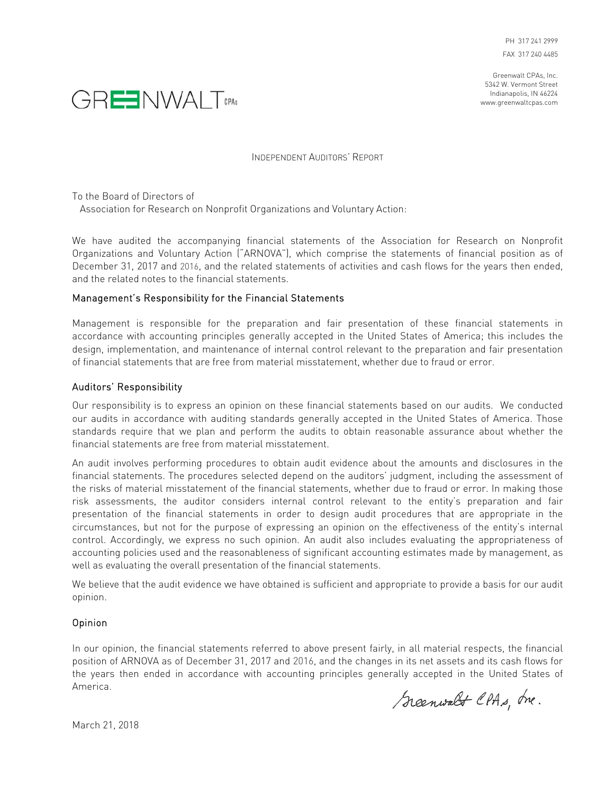Greenwalt CPAs, Inc. 5342 W. Vermont Street Indianapolis, IN 46224 www.greenwaltcpas.com



INDEPENDENT AUDITORS' REPORT

To the Board of Directors of

Association for Research on Nonprofit Organizations and Voluntary Action:

We have audited the accompanying financial statements of the Association for Research on Nonprofit Organizations and Voluntary Action ("ARNOVA"), which comprise the statements of financial position as of December 31, 2017 and 2016, and the related statements of activities and cash flows for the years then ended, and the related notes to the financial statements.

## Management's Responsibility for the Financial Statements

Management is responsible for the preparation and fair presentation of these financial statements in accordance with accounting principles generally accepted in the United States of America; this includes the design, implementation, and maintenance of internal control relevant to the preparation and fair presentation of financial statements that are free from material misstatement, whether due to fraud or error.

## Auditors' Responsibility

Our responsibility is to express an opinion on these financial statements based on our audits. We conducted our audits in accordance with auditing standards generally accepted in the United States of America. Those standards require that we plan and perform the audits to obtain reasonable assurance about whether the financial statements are free from material misstatement.

An audit involves performing procedures to obtain audit evidence about the amounts and disclosures in the financial statements. The procedures selected depend on the auditors' judgment, including the assessment of the risks of material misstatement of the financial statements, whether due to fraud or error. In making those risk assessments, the auditor considers internal control relevant to the entity's preparation and fair presentation of the financial statements in order to design audit procedures that are appropriate in the circumstances, but not for the purpose of expressing an opinion on the effectiveness of the entity's internal control. Accordingly, we express no such opinion. An audit also includes evaluating the appropriateness of accounting policies used and the reasonableness of significant accounting estimates made by management, as well as evaluating the overall presentation of the financial statements.

We believe that the audit evidence we have obtained is sufficient and appropriate to provide a basis for our audit opinion.

## Opinion

In our opinion, the financial statements referred to above present fairly, in all material respects, the financial position of ARNOVA as of December 31, 2017 and 2016, and the changes in its net assets and its cash flows for the years then ended in accordance with accounting principles generally accepted in the United States of America.

Scenwalt CPAs, me.

March 21, 2018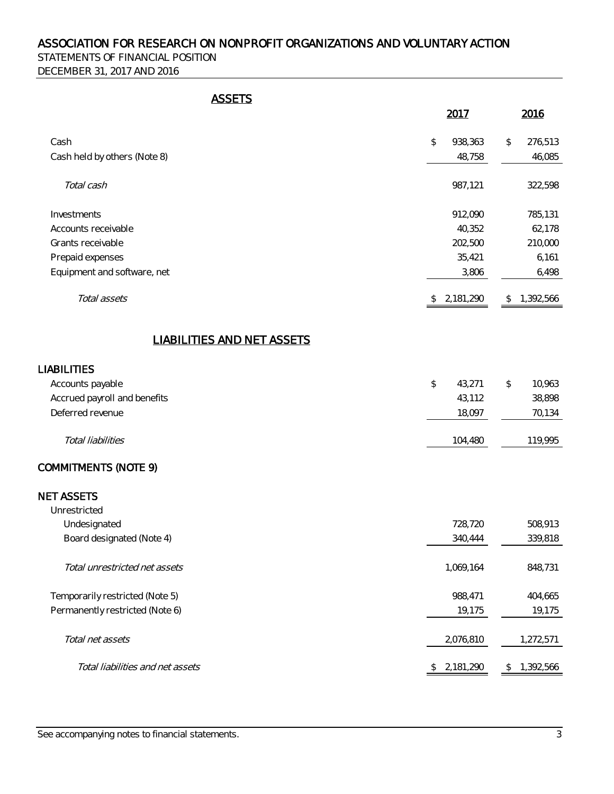STATEMENTS OF FINANCIAL POSITION DECEMBER 31, 2017 AND 2016

| т. |  |
|----|--|
| н  |  |

|                                   | 2017                     | 2016            |
|-----------------------------------|--------------------------|-----------------|
| Cash                              | \$<br>938,363            | 276,513<br>\$   |
| Cash held by others (Note 8)      | 48,758                   | 46,085          |
| Total cash                        | 987,121                  | 322,598         |
| Investments                       | 912,090                  | 785,131         |
| Accounts receivable               | 40,352                   | 62,178          |
| Grants receivable                 | 202,500                  | 210,000         |
| Prepaid expenses                  | 35,421                   | 6,161           |
| Equipment and software, net       | 3,806                    | 6,498           |
| Total assets                      | \$2,181,290              | 1,392,566<br>\$ |
| <b>LIABILITIES AND NET ASSETS</b> |                          |                 |
| <b>LIABILITIES</b>                |                          |                 |
| Accounts payable                  | $\updownarrow$<br>43,271 | 10,963<br>\$    |
| Accrued payroll and benefits      | 43,112                   | 38,898          |
| Deferred revenue                  | 18,097                   | 70,134          |
| Total liabilities                 | 104,480                  | 119,995         |
| <b>COMMITMENTS (NOTE 9)</b>       |                          |                 |
| <b>NET ASSETS</b>                 |                          |                 |
| Unrestricted                      |                          |                 |
| Undesignated                      | 728,720                  | 508,913         |
| Board designated (Note 4)         | 340,444                  | 339,818         |
| Total unrestricted net assets     | 1,069,164                | 848,731         |
| Temporarily restricted (Note 5)   | 988,471                  | 404,665         |
| Permanently restricted (Note 6)   | 19,175                   | 19,175          |
| Total net assets                  | 2,076,810                | 1,272,571       |
| Total liabilities and net assets  | \$2,181,290              | 1,392,566<br>\$ |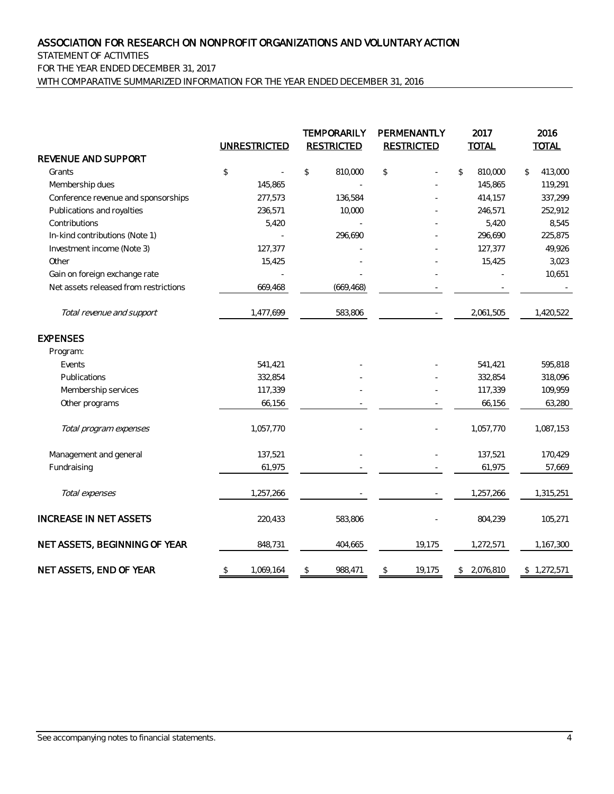STATEMENT OF ACTIVITIES FOR THE YEAR ENDED DECEMBER 31, 2017 WITH COMPARATIVE SUMMARIZED INFORMATION FOR THE YEAR ENDED DECEMBER 31, 2016

|                                       |                                               | <b>UNRESTRICTED</b> |                | <b>TEMPORARILY</b><br><b>RESTRICTED</b> | PERMENANTLY<br><b>RESTRICTED</b> | 2017<br><b>TOTAL</b> | 2016<br><b>TOTAL</b> |
|---------------------------------------|-----------------------------------------------|---------------------|----------------|-----------------------------------------|----------------------------------|----------------------|----------------------|
| REVENUE AND SUPPORT                   |                                               |                     |                |                                         |                                  |                      |                      |
| Grants                                | $\, \, \raisebox{-1.5pt}{\ensuremath{\circ}}$ |                     | \$             | 810,000                                 | \$                               | \$<br>810,000        | \$<br>413,000        |
| Membership dues                       |                                               | 145,865             |                |                                         |                                  | 145,865              | 119,291              |
| Conference revenue and sponsorships   |                                               | 277,573             |                | 136,584                                 |                                  | 414,157              | 337,299              |
| Publications and royalties            |                                               | 236,571             |                | 10,000                                  |                                  | 246,571              | 252,912              |
| Contributions                         |                                               | 5,420               |                |                                         |                                  | 5,420                | 8,545                |
| In-kind contributions (Note 1)        |                                               |                     |                | 296,690                                 |                                  | 296,690              | 225,875              |
| Investment income (Note 3)            |                                               | 127,377             |                |                                         |                                  | 127,377              | 49,926               |
| Other                                 |                                               | 15,425              |                |                                         |                                  | 15,425               | 3,023                |
| Gain on foreign exchange rate         |                                               |                     |                |                                         |                                  |                      | 10,651               |
| Net assets released from restrictions |                                               | 669,468             |                | (669, 468)                              |                                  |                      |                      |
| Total revenue and support             |                                               | 1,477,699           |                | 583,806                                 |                                  | 2,061,505            | 1,420,522            |
| <b>EXPENSES</b>                       |                                               |                     |                |                                         |                                  |                      |                      |
| Program:                              |                                               |                     |                |                                         |                                  |                      |                      |
| Events                                |                                               | 541,421             |                |                                         |                                  | 541,421              | 595,818              |
| Publications                          |                                               | 332,854             |                |                                         |                                  | 332,854              | 318,096              |
| Membership services                   |                                               | 117,339             |                |                                         |                                  | 117,339              | 109,959              |
| Other programs                        |                                               | 66,156              |                |                                         |                                  | 66,156               | 63,280               |
| Total program expenses                |                                               | 1,057,770           |                |                                         |                                  | 1,057,770            | 1,087,153            |
| Management and general                |                                               | 137,521             |                |                                         |                                  | 137,521              | 170,429              |
| Fundraising                           |                                               | 61,975              |                |                                         |                                  | 61,975               | 57,669               |
| Total expenses                        |                                               | 1,257,266           |                |                                         |                                  | 1,257,266            | 1,315,251            |
| <b>INCREASE IN NET ASSETS</b>         |                                               | 220,433             |                | 583,806                                 |                                  | 804,239              | 105,271              |
| NET ASSETS, BEGINNING OF YEAR         |                                               | 848,731             |                | 404,665                                 | 19,175                           | 1,272,571            | 1,167,300            |
| NET ASSETS, END OF YEAR               | \$                                            | 1,069,164           | $\mathfrak{P}$ | 988,471                                 | \$<br>19,175                     | \$2,076,810          | \$1,272,571          |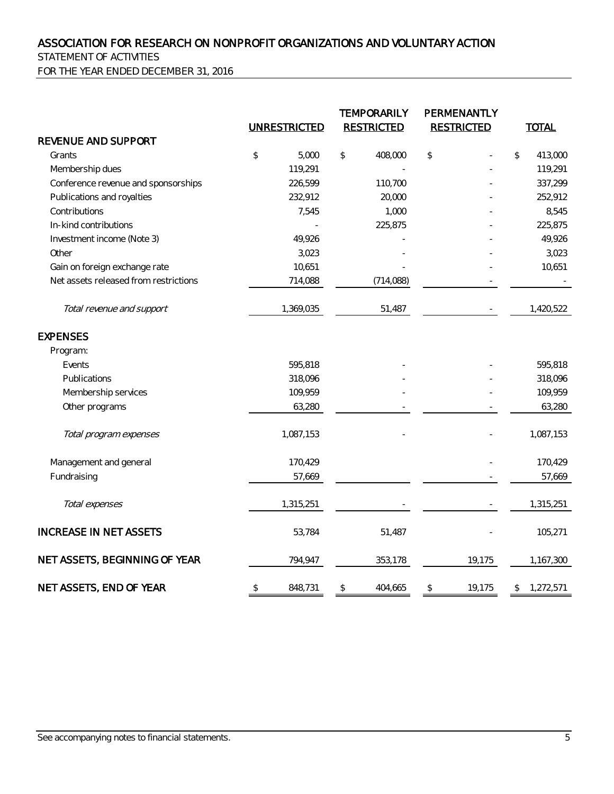STATEMENT OF ACTIVITIES

FOR THE YEAR ENDED DECEMBER 31, 2016

|                                       |                | <b>TEMPORARILY</b><br><b>RESTRICTED</b><br><b>UNRESTRICTED</b> |    |            |    | PERMENANTLY<br><b>RESTRICTED</b> |    |           | <b>TOTAL</b> |  |
|---------------------------------------|----------------|----------------------------------------------------------------|----|------------|----|----------------------------------|----|-----------|--------------|--|
| REVENUE AND SUPPORT                   |                |                                                                |    |            |    |                                  |    |           |              |  |
| Grants                                | $\updownarrow$ | 5,000                                                          | \$ | 408,000    | \$ |                                  | \$ | 413,000   |              |  |
| Membership dues                       |                | 119,291                                                        |    |            |    |                                  |    | 119,291   |              |  |
| Conference revenue and sponsorships   |                | 226,599                                                        |    | 110,700    |    |                                  |    | 337,299   |              |  |
| Publications and royalties            |                | 232,912                                                        |    | 20,000     |    |                                  |    | 252,912   |              |  |
| Contributions                         |                | 7,545                                                          |    | 1,000      |    |                                  |    | 8,545     |              |  |
| In-kind contributions                 |                |                                                                |    | 225,875    |    |                                  |    | 225,875   |              |  |
| Investment income (Note 3)            |                | 49,926                                                         |    |            |    |                                  |    | 49,926    |              |  |
| Other                                 |                | 3,023                                                          |    |            |    |                                  |    | 3,023     |              |  |
| Gain on foreign exchange rate         |                | 10,651                                                         |    |            |    |                                  |    | 10,651    |              |  |
| Net assets released from restrictions |                | 714,088                                                        |    | (714, 088) |    |                                  |    |           |              |  |
| Total revenue and support             |                | 1,369,035                                                      |    | 51,487     |    |                                  |    | 1,420,522 |              |  |
| <b>EXPENSES</b>                       |                |                                                                |    |            |    |                                  |    |           |              |  |
| Program:                              |                |                                                                |    |            |    |                                  |    |           |              |  |
| Events                                |                | 595,818                                                        |    |            |    |                                  |    | 595,818   |              |  |
| Publications                          |                | 318,096                                                        |    |            |    |                                  |    | 318,096   |              |  |
| Membership services                   |                | 109,959                                                        |    |            |    |                                  |    | 109,959   |              |  |
| Other programs                        |                | 63,280                                                         |    |            |    |                                  |    | 63,280    |              |  |
| Total program expenses                |                | 1,087,153                                                      |    |            |    |                                  |    | 1,087,153 |              |  |
| Management and general                |                | 170,429                                                        |    |            |    |                                  |    | 170,429   |              |  |
| Fundraising                           |                | 57,669                                                         |    |            |    |                                  |    | 57,669    |              |  |
| Total expenses                        |                | 1,315,251                                                      |    |            |    |                                  |    | 1,315,251 |              |  |
| <b>INCREASE IN NET ASSETS</b>         |                | 53,784                                                         |    | 51,487     |    |                                  |    | 105,271   |              |  |
| NET ASSETS, BEGINNING OF YEAR         |                | 794,947                                                        |    | 353,178    |    | 19,175                           |    | 1,167,300 |              |  |
| NET ASSETS, END OF YEAR               | \$             | 848,731                                                        | \$ | 404,665    | \$ | 19,175                           | \$ | 1,272,571 |              |  |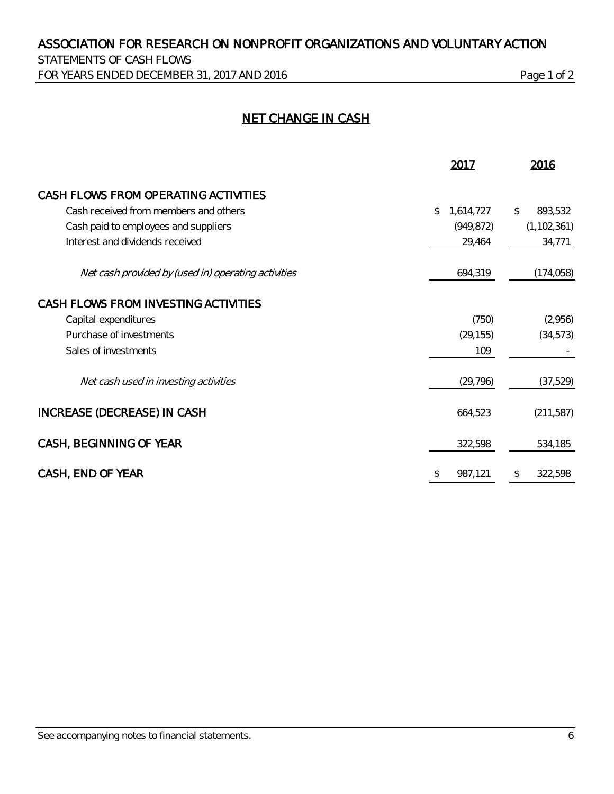STATEMENTS OF CASH FLOWS FOR YEARS ENDED DECEMBER 31, 2017 AND 2016 Page 1 of 2

# NET CHANGE IN CASH

|                                                     | 2017            | 2016                     |
|-----------------------------------------------------|-----------------|--------------------------|
| CASH FLOWS FROM OPERATING ACTIVITIES                |                 |                          |
| Cash received from members and others               | \$<br>1,614,727 | $\mathcal{Z}$<br>893,532 |
| Cash paid to employees and suppliers                | (949, 872)      | (1, 102, 361)            |
| Interest and dividends received                     | 29,464          | 34,771                   |
| Net cash provided by (used in) operating activities | 694,319         | (174, 058)               |
| CASH FLOWS FROM INVESTING ACTIVITIES                |                 |                          |
| Capital expenditures                                | (750)           | (2,956)                  |
| Purchase of investments                             | (29, 155)       | (34, 573)                |
| Sales of investments                                | 109             |                          |
| Net cash used in investing activities               | (29, 796)       | (37, 529)                |
| INCREASE (DECREASE) IN CASH                         | 664,523         | (211, 587)               |
| CASH, BEGINNING OF YEAR                             | 322,598         | 534,185                  |
| CASH, END OF YEAR                                   | 987,121<br>\$   | 322,598<br>\$            |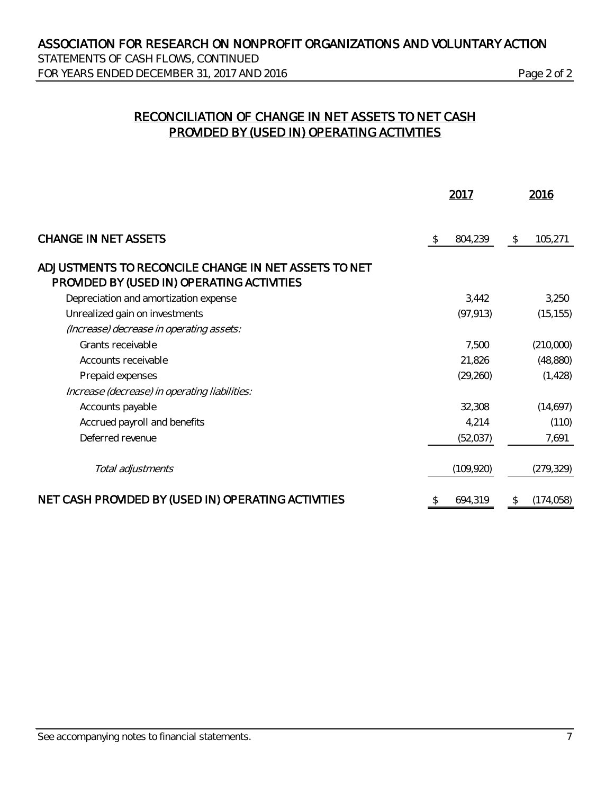STATEMENTS OF CASH FLOWS, CONTINUED FOR YEARS ENDED DECEMBER 31, 2017 AND 2016 Page 2 of 2

# RECONCILIATION OF CHANGE IN NET ASSETS TO NET CASH PROVIDED BY (USED IN) OPERATING ACTIVITIES

|                                                                                                    |   | 2017       |               | 2016       |
|----------------------------------------------------------------------------------------------------|---|------------|---------------|------------|
| <b>CHANGE IN NET ASSETS</b>                                                                        | S | 804,239    | \$            | 105,271    |
| ADJUSTMENTS TO RECONCILE CHANGE IN NET ASSETS TO NET<br>PROVIDED BY (USED IN) OPERATING ACTIVITIES |   |            |               |            |
| Depreciation and amortization expense                                                              |   | 3.442      |               | 3,250      |
| Unrealized gain on investments                                                                     |   | (97, 913)  |               | (15, 155)  |
| (Increase) decrease in operating assets:                                                           |   |            |               |            |
| Grants receivable                                                                                  |   | 7,500      |               | (210,000)  |
| Accounts receivable                                                                                |   | 21,826     |               | (48, 880)  |
| Prepaid expenses                                                                                   |   | (29, 260)  |               | (1, 428)   |
| Increase (decrease) in operating liabilities:                                                      |   |            |               |            |
| Accounts payable                                                                                   |   | 32,308     |               | (14,697)   |
| Accrued payroll and benefits                                                                       |   | 4,214      |               | (110)      |
| Deferred revenue                                                                                   |   | (52,037)   |               | 7,691      |
| Total adjustments                                                                                  |   | (109, 920) |               | (279, 329) |
| NET CASH PROVIDED BY (USED IN) OPERATING ACTIVITIES                                                |   | 694,319    | $\mathcal{L}$ | (174, 058) |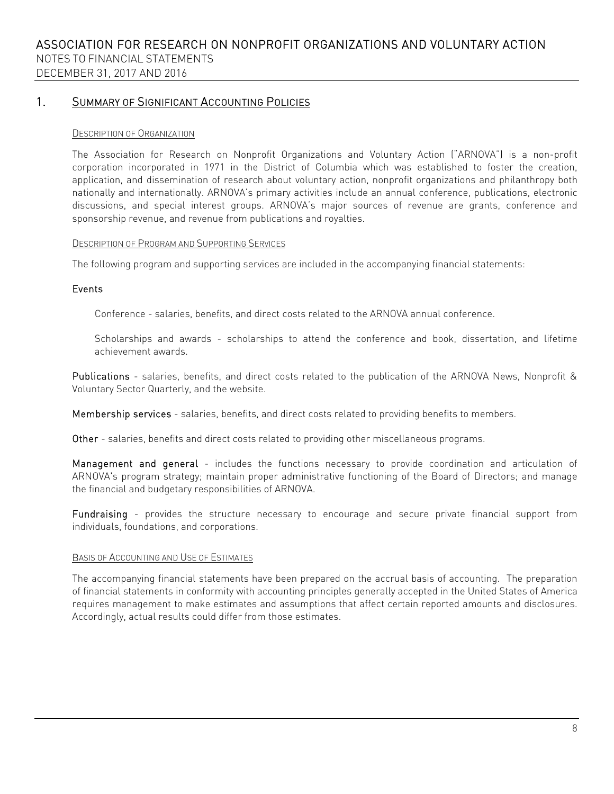## 1. SUMMARY OF SIGNIFICANT ACCOUNTING POLICIES

#### DESCRIPTION OF ORGANIZATION

The Association for Research on Nonprofit Organizations and Voluntary Action ("ARNOVA") is a non-profit corporation incorporated in 1971 in the District of Columbia which was established to foster the creation, application, and dissemination of research about voluntary action, nonprofit organizations and philanthropy both nationally and internationally. ARNOVA's primary activities include an annual conference, publications, electronic discussions, and special interest groups. ARNOVA's major sources of revenue are grants, conference and sponsorship revenue, and revenue from publications and royalties.

#### DESCRIPTION OF PROGRAM AND SUPPORTING SERVICES

The following program and supporting services are included in the accompanying financial statements:

### Events

Conference - salaries, benefits, and direct costs related to the ARNOVA annual conference.

Scholarships and awards - scholarships to attend the conference and book, dissertation, and lifetime achievement awards.

Publications - salaries, benefits, and direct costs related to the publication of the ARNOVA News, Nonprofit & Voluntary Sector Quarterly, and the website.

Membership services - salaries, benefits, and direct costs related to providing benefits to members.

Other - salaries, benefits and direct costs related to providing other miscellaneous programs.

Management and general - includes the functions necessary to provide coordination and articulation of ARNOVA's program strategy; maintain proper administrative functioning of the Board of Directors; and manage the financial and budgetary responsibilities of ARNOVA.

Fundraising - provides the structure necessary to encourage and secure private financial support from individuals, foundations, and corporations.

#### BASIS OF ACCOUNTING AND USE OF ESTIMATES

The accompanying financial statements have been prepared on the accrual basis of accounting. The preparation of financial statements in conformity with accounting principles generally accepted in the United States of America requires management to make estimates and assumptions that affect certain reported amounts and disclosures. Accordingly, actual results could differ from those estimates.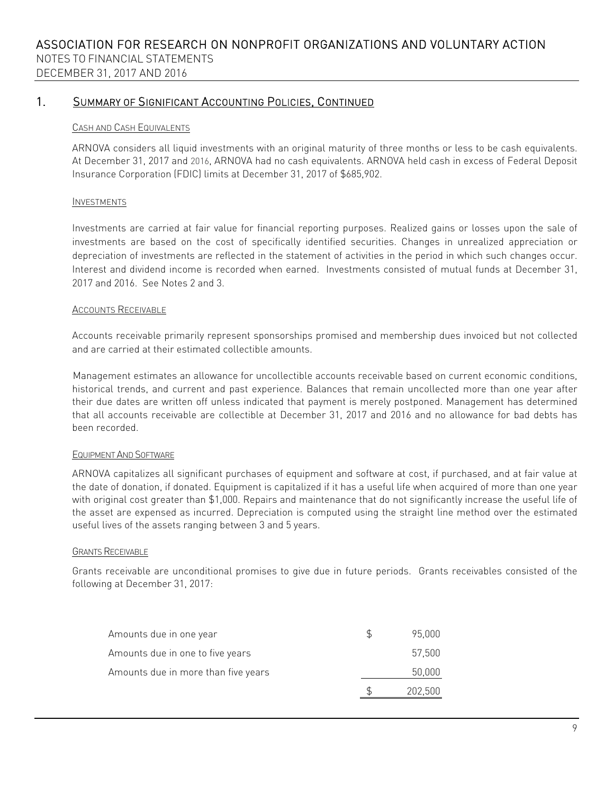### CASH AND CASH EQUIVALENTS

ARNOVA considers all liquid investments with an original maturity of three months or less to be cash equivalents. At December 31, 2017 and 2016, ARNOVA had no cash equivalents. ARNOVA held cash in excess of Federal Deposit Insurance Corporation (FDIC) limits at December 31, 2017 of \$685,902.

#### INVESTMENTS

Investments are carried at fair value for financial reporting purposes. Realized gains or losses upon the sale of investments are based on the cost of specifically identified securities. Changes in unrealized appreciation or depreciation of investments are reflected in the statement of activities in the period in which such changes occur. Interest and dividend income is recorded when earned. Investments consisted of mutual funds at December 31, 2017 and 2016. See Notes 2 and 3.

#### ACCOUNTS RECEIVABLE

Accounts receivable primarily represent sponsorships promised and membership dues invoiced but not collected and are carried at their estimated collectible amounts.

Management estimates an allowance for uncollectible accounts receivable based on current economic conditions, historical trends, and current and past experience. Balances that remain uncollected more than one year after their due dates are written off unless indicated that payment is merely postponed. Management has determined that all accounts receivable are collectible at December 31, 2017 and 2016 and no allowance for bad debts has been recorded.

#### EQUIPMENT AND SOFTWARE

ARNOVA capitalizes all significant purchases of equipment and software at cost, if purchased, and at fair value at the date of donation, if donated. Equipment is capitalized if it has a useful life when acquired of more than one year with original cost greater than \$1,000. Repairs and maintenance that do not significantly increase the useful life of the asset are expensed as incurred. Depreciation is computed using the straight line method over the estimated useful lives of the assets ranging between 3 and 5 years.

#### GRANTS RECEIVABLE

Grants receivable are unconditional promises to give due in future periods. Grants receivables consisted of the following at December 31, 2017:

| Amounts due in one year             | 95.000  |
|-------------------------------------|---------|
| Amounts due in one to five years    | 57,500  |
| Amounts due in more than five years | 50,000  |
|                                     | 202,500 |
|                                     |         |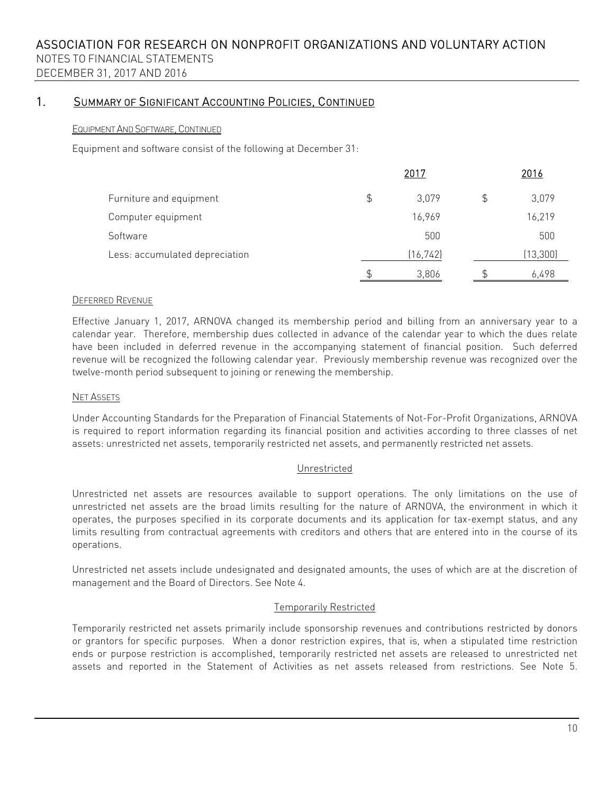## EQUIPMENT AND SOFTWARE, CONTINUED

Equipment and software consist of the following at December 31:

|                                |    | 2016      |           |  |
|--------------------------------|----|-----------|-----------|--|
| Furniture and equipment        | \$ | 3.079     | 3,079     |  |
| Computer equipment             |    | 16,969    | 16,219    |  |
| Software                       |    | 500       | 500       |  |
| Less: accumulated depreciation |    | (16, 742) | (13, 300) |  |
|                                | \$ | 3,806     | 6,498     |  |

## DEFERRED REVENUE

Effective January 1, 2017, ARNOVA changed its membership period and billing from an anniversary year to a calendar year. Therefore, membership dues collected in advance of the calendar year to which the dues relate have been included in deferred revenue in the accompanying statement of financial position. Such deferred revenue will be recognized the following calendar year. Previously membership revenue was recognized over the twelve-month period subsequent to joining or renewing the membership.

### NET ASSETS

Under Accounting Standards for the Preparation of Financial Statements of Not-For-Profit Organizations, ARNOVA is required to report information regarding its financial position and activities according to three classes of net assets: unrestricted net assets, temporarily restricted net assets, and permanently restricted net assets.

## Unrestricted

Unrestricted net assets are resources available to support operations. The only limitations on the use of unrestricted net assets are the broad limits resulting for the nature of ARNOVA, the environment in which it operates, the purposes specified in its corporate documents and its application for tax-exempt status, and any limits resulting from contractual agreements with creditors and others that are entered into in the course of its operations.

Unrestricted net assets include undesignated and designated amounts, the uses of which are at the discretion of management and the Board of Directors. See Note 4.

## Temporarily Restricted

Temporarily restricted net assets primarily include sponsorship revenues and contributions restricted by donors or grantors for specific purposes. When a donor restriction expires, that is, when a stipulated time restriction ends or purpose restriction is accomplished, temporarily restricted net assets are released to unrestricted net assets and reported in the Statement of Activities as net assets released from restrictions. See Note 5.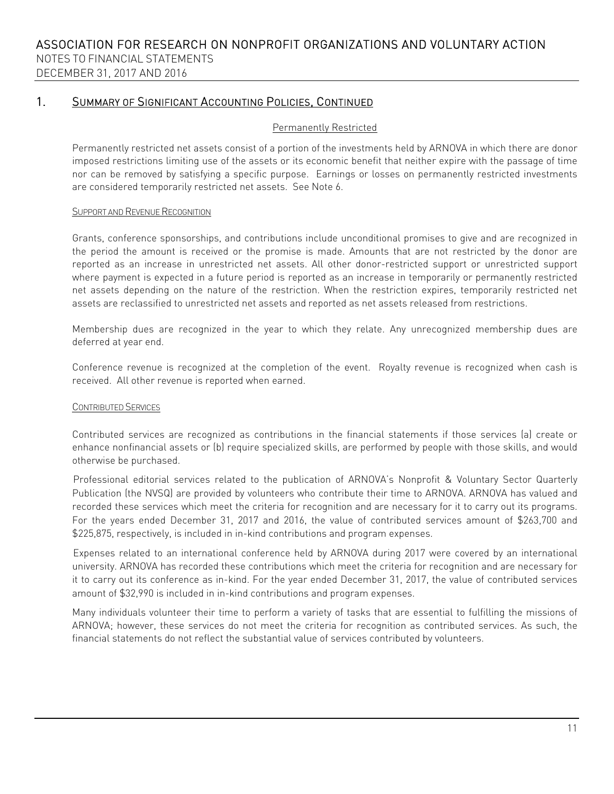### Permanently Restricted

Permanently restricted net assets consist of a portion of the investments held by ARNOVA in which there are donor imposed restrictions limiting use of the assets or its economic benefit that neither expire with the passage of time nor can be removed by satisfying a specific purpose. Earnings or losses on permanently restricted investments are considered temporarily restricted net assets. See Note 6.

#### SUPPORT AND REVENUE RECOGNITION

Grants, conference sponsorships, and contributions include unconditional promises to give and are recognized in the period the amount is received or the promise is made. Amounts that are not restricted by the donor are reported as an increase in unrestricted net assets. All other donor-restricted support or unrestricted support where payment is expected in a future period is reported as an increase in temporarily or permanently restricted net assets depending on the nature of the restriction. When the restriction expires, temporarily restricted net assets are reclassified to unrestricted net assets and reported as net assets released from restrictions.

Membership dues are recognized in the year to which they relate. Any unrecognized membership dues are deferred at year end.

Conference revenue is recognized at the completion of the event. Royalty revenue is recognized when cash is received. All other revenue is reported when earned.

## CONTRIBUTED SERVICES

Contributed services are recognized as contributions in the financial statements if those services (a) create or enhance nonfinancial assets or (b) require specialized skills, are performed by people with those skills, and would otherwise be purchased.

Professional editorial services related to the publication of ARNOVA's Nonprofit & Voluntary Sector Quarterly Publication (the NVSQ) are provided by volunteers who contribute their time to ARNOVA. ARNOVA has valued and recorded these services which meet the criteria for recognition and are necessary for it to carry out its programs. For the years ended December 31, 2017 and 2016, the value of contributed services amount of \$263,700 and \$225,875, respectively, is included in in-kind contributions and program expenses.

Expenses related to an international conference held by ARNOVA during 2017 were covered by an international university. ARNOVA has recorded these contributions which meet the criteria for recognition and are necessary for it to carry out its conference as in-kind. For the year ended December 31, 2017, the value of contributed services amount of \$32,990 is included in in-kind contributions and program expenses.

Many individuals volunteer their time to perform a variety of tasks that are essential to fulfilling the missions of ARNOVA; however, these services do not meet the criteria for recognition as contributed services. As such, the financial statements do not reflect the substantial value of services contributed by volunteers.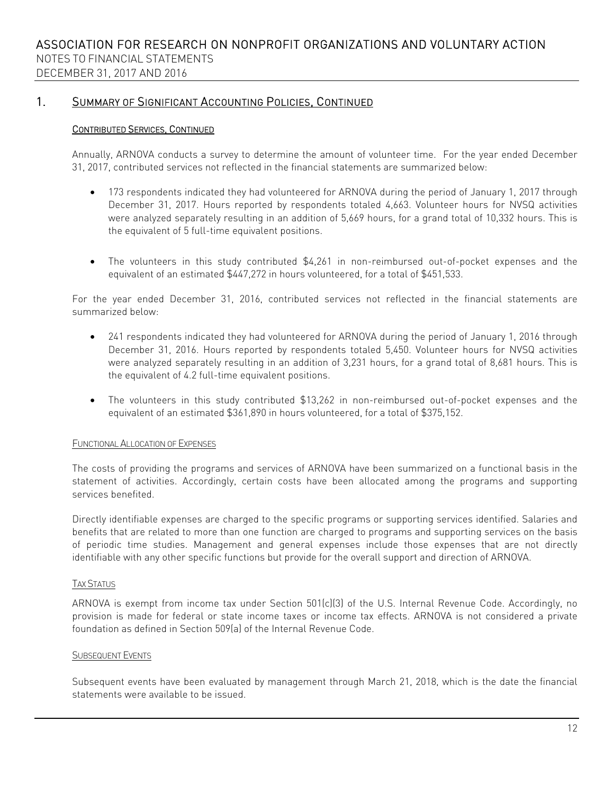## CONTRIBUTED SERVICES, CONTINUED

Annually, ARNOVA conducts a survey to determine the amount of volunteer time. For the year ended December 31, 2017, contributed services not reflected in the financial statements are summarized below:

- 173 respondents indicated they had volunteered for ARNOVA during the period of January 1, 2017 through December 31, 2017. Hours reported by respondents totaled 4,663. Volunteer hours for NVSQ activities were analyzed separately resulting in an addition of 5,669 hours, for a grand total of 10,332 hours. This is the equivalent of 5 full-time equivalent positions.
- The volunteers in this study contributed \$4,261 in non-reimbursed out-of-pocket expenses and the equivalent of an estimated \$447,272 in hours volunteered, for a total of \$451,533.

For the year ended December 31, 2016, contributed services not reflected in the financial statements are summarized below:

- 241 respondents indicated they had volunteered for ARNOVA during the period of January 1, 2016 through December 31, 2016. Hours reported by respondents totaled 5,450. Volunteer hours for NVSQ activities were analyzed separately resulting in an addition of 3,231 hours, for a grand total of 8,681 hours. This is the equivalent of 4.2 full-time equivalent positions.
- The volunteers in this study contributed \$13,262 in non-reimbursed out-of-pocket expenses and the equivalent of an estimated \$361,890 in hours volunteered, for a total of \$375,152.

## FUNCTIONAL ALLOCATION OF EXPENSES

The costs of providing the programs and services of ARNOVA have been summarized on a functional basis in the statement of activities. Accordingly, certain costs have been allocated among the programs and supporting services benefited.

Directly identifiable expenses are charged to the specific programs or supporting services identified. Salaries and benefits that are related to more than one function are charged to programs and supporting services on the basis of periodic time studies. Management and general expenses include those expenses that are not directly identifiable with any other specific functions but provide for the overall support and direction of ARNOVA.

#### TAX STATUS

ARNOVA is exempt from income tax under Section 501(c)(3) of the U.S. Internal Revenue Code. Accordingly, no provision is made for federal or state income taxes or income tax effects. ARNOVA is not considered a private foundation as defined in Section 509(a) of the Internal Revenue Code.

#### SUBSEQUENT EVENTS

Subsequent events have been evaluated by management through March 21, 2018, which is the date the financial statements were available to be issued.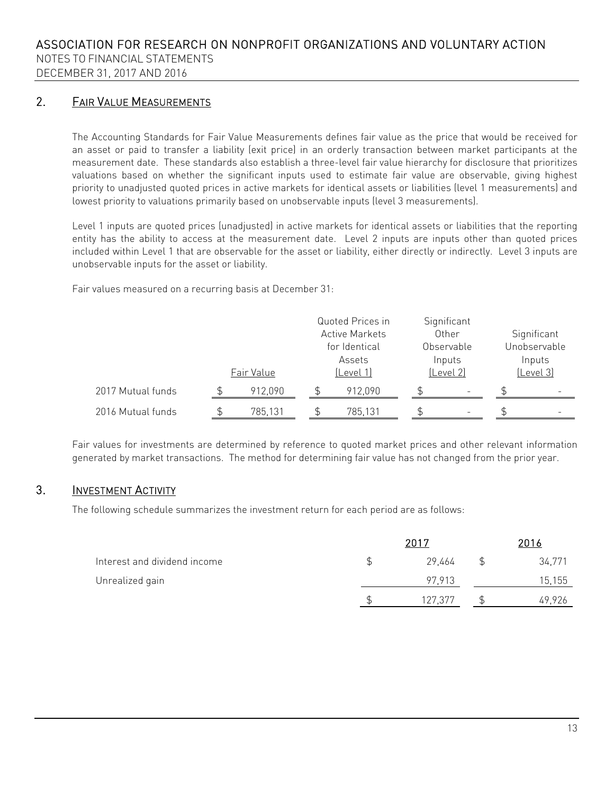NOTES TO FINANCIAL STATEMENTS

# DECEMBER 31, 2017 AND 2016

# 2. FAIR VALUE MEASUREMENTS

The Accounting Standards for Fair Value Measurements defines fair value as the price that would be received for an asset or paid to transfer a liability (exit price) in an orderly transaction between market participants at the measurement date. These standards also establish a three-level fair value hierarchy for disclosure that prioritizes valuations based on whether the significant inputs used to estimate fair value are observable, giving highest priority to unadjusted quoted prices in active markets for identical assets or liabilities (level 1 measurements) and lowest priority to valuations primarily based on unobservable inputs (level 3 measurements).

Level 1 inputs are quoted prices (unadjusted) in active markets for identical assets or liabilities that the reporting entity has the ability to access at the measurement date. Level 2 inputs are inputs other than quoted prices included within Level 1 that are observable for the asset or liability, either directly or indirectly. Level 3 inputs are unobservable inputs for the asset or liability.

Fair values measured on a recurring basis at December 31:

|                   | Fair Value | Quoted Prices in<br><b>Active Markets</b><br>for Identical<br>Assets<br>(Level 1) |         | Significant<br>Other<br>Observable<br>Inputs<br>(Level 2) | Significant<br>Unobservable<br>Inputs<br>(Level 3) |
|-------------------|------------|-----------------------------------------------------------------------------------|---------|-----------------------------------------------------------|----------------------------------------------------|
| 2017 Mutual funds | 912.090    |                                                                                   | 912,090 | $\overline{\phantom{a}}$                                  |                                                    |
| 2016 Mutual funds | 785,131    |                                                                                   | 785,131 | $\overline{\phantom{0}}$                                  | -                                                  |

Fair values for investments are determined by reference to quoted market prices and other relevant information generated by market transactions. The method for determining fair value has not changed from the prior year.

# 3. INVESTMENT ACTIVITY

The following schedule summarizes the investment return for each period are as follows:

|                              |  | 2016    |  |        |
|------------------------------|--|---------|--|--------|
| Interest and dividend income |  | 29,464  |  | 34,771 |
| Unrealized gain              |  | 97.913  |  | 15,155 |
|                              |  | 127,377 |  | 49,926 |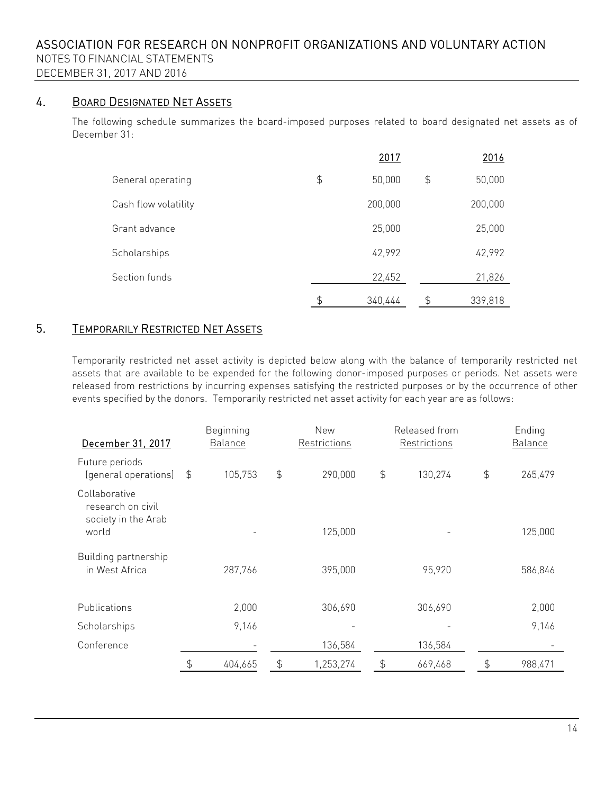DECEMBER 31, 2017 AND 2016

# 4. BOARD DESIGNATED NET ASSETS

The following schedule summarizes the board-imposed purposes related to board designated net assets as of December 31:

|                      | 2017          |    | 2016    |
|----------------------|---------------|----|---------|
| General operating    | \$<br>50,000  | \$ | 50,000  |
| Cash flow volatility | 200,000       |    | 200,000 |
| Grant advance        | 25,000        |    | 25,000  |
| Scholarships         | 42,992        |    | 42,992  |
| Section funds        | 22,452        |    | 21,826  |
|                      | \$<br>340,444 | S  | 339,818 |

# 5. TEMPORARILY RESTRICTED NET ASSETS

Temporarily restricted net asset activity is depicted below along with the balance of temporarily restricted net assets that are available to be expended for the following donor-imposed purposes or periods. Net assets were released from restrictions by incurring expenses satisfying the restricted purposes or by the occurrence of other events specified by the donors. Temporarily restricted net asset activity for each year are as follows:

| December 31, 2017                                         |                | Beginning<br>Balance |               | New<br>Restrictions | Released from<br>Restrictions | Ending<br><b>Balance</b> |
|-----------------------------------------------------------|----------------|----------------------|---------------|---------------------|-------------------------------|--------------------------|
| Future periods<br>(general operations)                    | $\mathfrak{P}$ | 105,753              | $\frac{1}{2}$ | 290,000             | \$<br>130,274                 | \$<br>265,479            |
| Collaborative<br>research on civil<br>society in the Arab |                |                      |               |                     |                               |                          |
| world                                                     |                |                      |               | 125,000             |                               | 125,000                  |
| Building partnership<br>in West Africa                    |                | 287,766              |               | 395,000             | 95,920                        | 586,846                  |
| Publications                                              |                | 2,000                |               | 306,690             | 306,690                       | 2,000                    |
| Scholarships                                              |                | 9,146                |               |                     |                               | 9,146                    |
| Conference                                                |                |                      |               | 136,584             | 136,584                       |                          |
|                                                           | \$             | 404,665              | \$            | 1,253,274           | \$<br>669,468                 | \$<br>988,471            |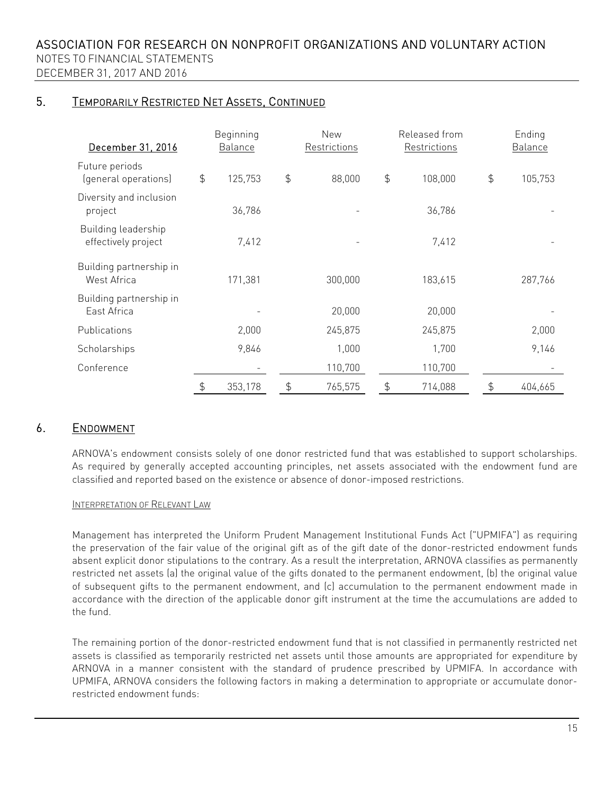# 5. TEMPORARILY RESTRICTED NET ASSETS, CONTINUED

| December 31, 2016                          |               | Beginning<br>Released from<br>New<br>Balance<br>Restrictions<br>Restrictions |               |         | Ending<br>Balance |               |         |
|--------------------------------------------|---------------|------------------------------------------------------------------------------|---------------|---------|-------------------|---------------|---------|
| Future periods<br>(general operations)     | $\frac{4}{5}$ | 125,753                                                                      | $\frac{4}{5}$ | 88,000  | \$<br>108,000     | $\frac{4}{5}$ | 105,753 |
| Diversity and inclusion<br>project         |               | 36,786                                                                       |               |         | 36,786            |               |         |
| Building leadership<br>effectively project |               | 7,412                                                                        |               |         | 7,412             |               |         |
| Building partnership in<br>West Africa     |               | 171,381                                                                      |               | 300,000 | 183,615           |               | 287,766 |
| Building partnership in<br>East Africa     |               |                                                                              |               | 20,000  | 20,000            |               |         |
| Publications                               |               | 2,000                                                                        |               | 245,875 | 245,875           |               | 2,000   |
| Scholarships                               |               | 9,846                                                                        |               | 1,000   | 1,700             |               | 9,146   |
| Conference                                 |               | -                                                                            |               | 110,700 | 110,700           |               |         |
|                                            | \$            | 353,178                                                                      | $\frac{4}{5}$ | 765,575 | \$<br>714,088     | \$            | 404,665 |

# 6. ENDOWMENT

ARNOVA's endowment consists solely of one donor restricted fund that was established to support scholarships. As required by generally accepted accounting principles, net assets associated with the endowment fund are classified and reported based on the existence or absence of donor-imposed restrictions.

## INTERPRETATION OF RELEVANT LAW

Management has interpreted the Uniform Prudent Management Institutional Funds Act ("UPMIFA") as requiring the preservation of the fair value of the original gift as of the gift date of the donor-restricted endowment funds absent explicit donor stipulations to the contrary. As a result the interpretation, ARNOVA classifies as permanently restricted net assets (a) the original value of the gifts donated to the permanent endowment, (b) the original value of subsequent gifts to the permanent endowment, and (c) accumulation to the permanent endowment made in accordance with the direction of the applicable donor gift instrument at the time the accumulations are added to the fund.

The remaining portion of the donor-restricted endowment fund that is not classified in permanently restricted net assets is classified as temporarily restricted net assets until those amounts are appropriated for expenditure by ARNOVA in a manner consistent with the standard of prudence prescribed by UPMIFA. In accordance with UPMIFA, ARNOVA considers the following factors in making a determination to appropriate or accumulate donorrestricted endowment funds: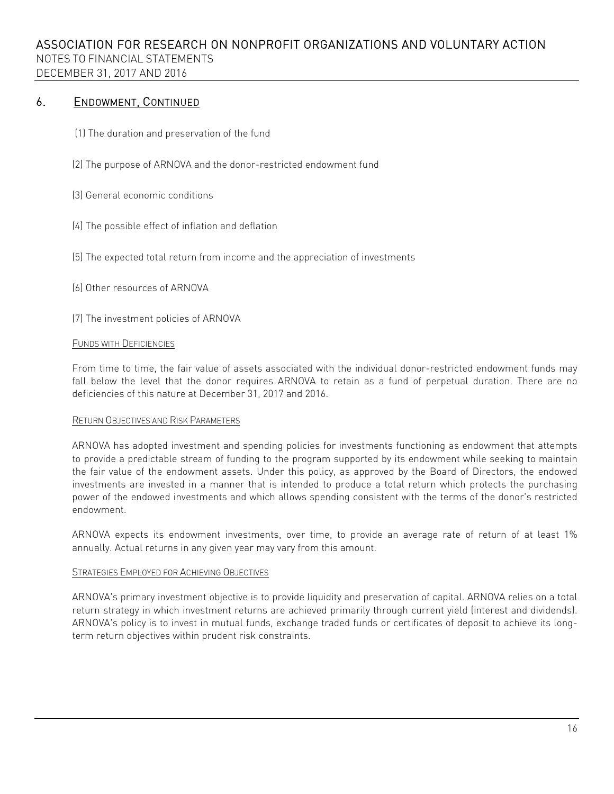## 6. ENDOWMENT, CONTINUED

- (1) The duration and preservation of the fund
- (2) The purpose of ARNOVA and the donor-restricted endowment fund
- (3) General economic conditions
- (4) The possible effect of inflation and deflation
- (5) The expected total return from income and the appreciation of investments
- (6) Other resources of ARNOVA
- (7) The investment policies of ARNOVA

#### FUNDS WITH DEFICIENCIES

From time to time, the fair value of assets associated with the individual donor-restricted endowment funds may fall below the level that the donor requires ARNOVA to retain as a fund of perpetual duration. There are no deficiencies of this nature at December 31, 2017 and 2016.

### RETURN OBJECTIVES AND RISK PARAMETERS

ARNOVA has adopted investment and spending policies for investments functioning as endowment that attempts to provide a predictable stream of funding to the program supported by its endowment while seeking to maintain the fair value of the endowment assets. Under this policy, as approved by the Board of Directors, the endowed investments are invested in a manner that is intended to produce a total return which protects the purchasing power of the endowed investments and which allows spending consistent with the terms of the donor's restricted endowment.

ARNOVA expects its endowment investments, over time, to provide an average rate of return of at least 1% annually. Actual returns in any given year may vary from this amount.

#### STRATEGIES EMPLOYED FOR ACHIEVING OBJECTIVES

ARNOVA's primary investment objective is to provide liquidity and preservation of capital. ARNOVA relies on a total return strategy in which investment returns are achieved primarily through current yield (interest and dividends). ARNOVA's policy is to invest in mutual funds, exchange traded funds or certificates of deposit to achieve its longterm return objectives within prudent risk constraints.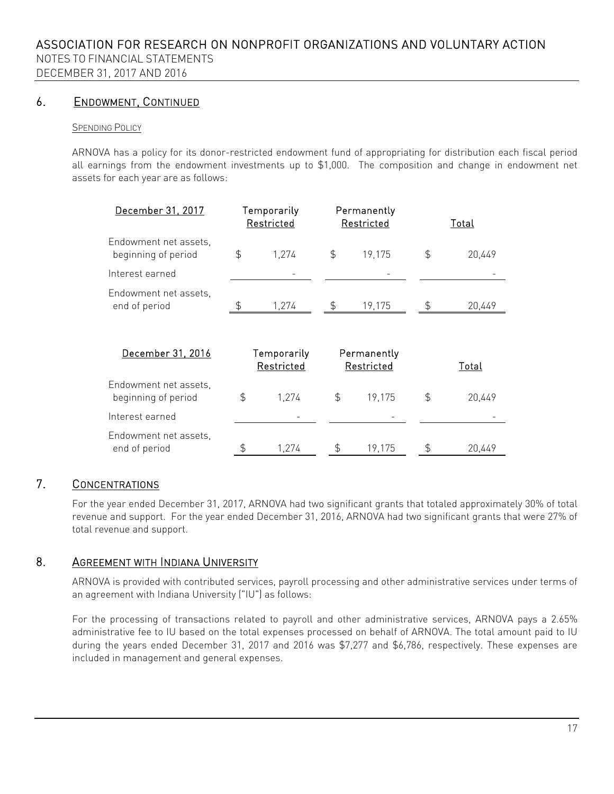NOTES TO FINANCIAL STATEMENTS DECEMBER 31, 2017 AND 2016

# 6. ENDOWMENT, CONTINUED

## SPENDING POLICY

ARNOVA has a policy for its donor-restricted endowment fund of appropriating for distribution each fiscal period all earnings from the endowment investments up to \$1,000. The composition and change in endowment net assets for each year are as follows:

| December 31, 2017                            | Temporarily<br>Restricted |                           | Permanently<br>Restricted | Total                     |    |        |
|----------------------------------------------|---------------------------|---------------------------|---------------------------|---------------------------|----|--------|
| Endowment net assets.<br>beginning of period | $\frac{4}{5}$             | 1.274                     | \$                        | 19,175                    | \$ | 20,449 |
| Interest earned                              |                           |                           |                           |                           |    |        |
| Endowment net assets.<br>end of period       | \$                        | 1,274                     | \$                        | 19,175                    | \$ | 20,449 |
| December 31, 2016                            |                           | Temporarily<br>Restricted |                           | Permanently<br>Restricted |    | Total  |
| Endowment net assets.<br>beginning of period | \$                        | 1,274                     | \$                        | 19,175                    | \$ | 20.449 |

end of period  $\frac{1}{274}$   $\frac{1}{274}$   $\frac{1}{204}$   $\frac{1}{204}$ 

| 7. | <b>CONCENTRATIONS</b> |
|----|-----------------------|
|    |                       |

For the year ended December 31, 2017, ARNOVA had two significant grants that totaled approximately 30% of total revenue and support. For the year ended December 31, 2016, ARNOVA had two significant grants that were 27% of total revenue and support.

# 8. AGREEMENT WITH INDIANA UNIVERSITY

Interest earned

Endowment net assets,

ARNOVA is provided with contributed services, payroll processing and other administrative services under terms of an agreement with Indiana University ("IU") as follows:

For the processing of transactions related to payroll and other administrative services, ARNOVA pays a 2.65% administrative fee to IU based on the total expenses processed on behalf of ARNOVA. The total amount paid to IU during the years ended December 31, 2017 and 2016 was \$7,277 and \$6,786, respectively. These expenses are included in management and general expenses.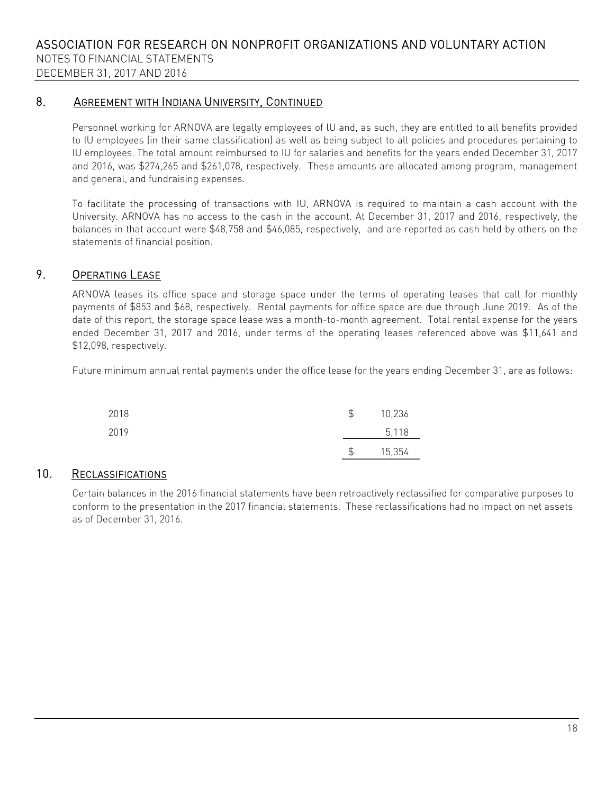## 8. AGREEMENT WITH INDIANA UNIVERSITY, CONTINUED

Personnel working for ARNOVA are legally employees of lU and, as such, they are entitled to all benefits provided to IU employees (in their same classification) as well as being subject to all policies and procedures pertaining to IU employees. The total amount reimbursed to IU for salaries and benefits for the years ended December 31, 2017 and 2016, was \$274,265 and \$261,078, respectively. These amounts are allocated among program, management and general, and fundraising expenses.

To facilitate the processing of transactions with IU, ARNOVA is required to maintain a cash account with the University. ARNOVA has no access to the cash in the account. At December 31, 2017 and 2016, respectively, the balances in that account were \$48,758 and \$46,085, respectively, and are reported as cash held by others on the statements of financial position.

## 9. OPERATING LEASE

ARNOVA leases its office space and storage space under the terms of operating leases that call for monthly payments of \$853 and \$68, respectively. Rental payments for office space are due through June 2019. As of the date of this report, the storage space lease was a month-to-month agreement. Total rental expense for the years ended December 31, 2017 and 2016, under terms of the operating leases referenced above was \$11,641 and \$12,098, respectively.

Future minimum annual rental payments under the office lease for the years ending December 31, are as follows:

| 2018 | \$<br>10,236 |
|------|--------------|
| 2019 | 5,118        |
|      | \$<br>15,354 |

# 10. RECLASSIFICATIONS

Certain balances in the 2016 financial statements have been retroactively reclassified for comparative purposes to conform to the presentation in the 2017 financial statements. These reclassifications had no impact on net assets as of December 31, 2016.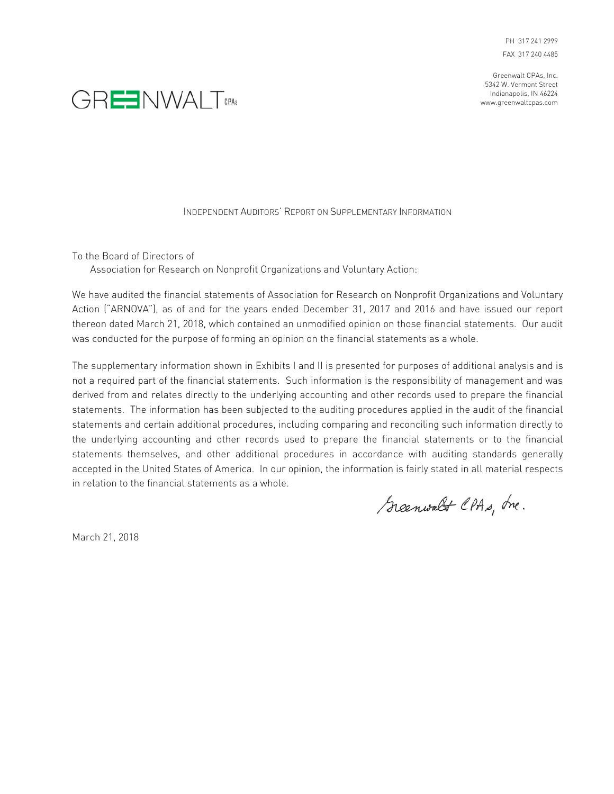Greenwalt CPAs, Inc. 5342 W. Vermont Street Indianapolis, IN 46224 www.greenwaltcpas.com



#### INDEPENDENT AUDITORS' REPORT ON SUPPLEMENTARY INFORMATION

To the Board of Directors of

Association for Research on Nonprofit Organizations and Voluntary Action:

We have audited the financial statements of Association for Research on Nonprofit Organizations and Voluntary Action ("ARNOVA"), as of and for the years ended December 31, 2017 and 2016 and have issued our report thereon dated March 21, 2018, which contained an unmodified opinion on those financial statements. Our audit was conducted for the purpose of forming an opinion on the financial statements as a whole.

The supplementary information shown in Exhibits I and II is presented for purposes of additional analysis and is not a required part of the financial statements. Such information is the responsibility of management and was derived from and relates directly to the underlying accounting and other records used to prepare the financial statements. The information has been subjected to the auditing procedures applied in the audit of the financial statements and certain additional procedures, including comparing and reconciling such information directly to the underlying accounting and other records used to prepare the financial statements or to the financial statements themselves, and other additional procedures in accordance with auditing standards generally accepted in the United States of America. In our opinion, the information is fairly stated in all material respects in relation to the financial statements as a whole.

Scenwalt CPAs, Ine.

March 21, 2018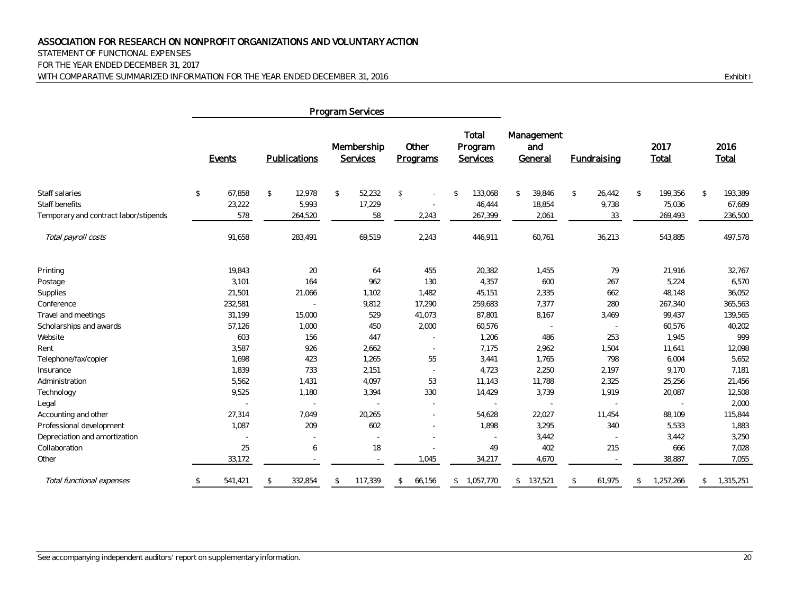STATEMENT OF FUNCTIONAL EXPENSES

FOR THE YEAR ENDED DECEMBER 31, 2017 WITH COMPARATIVE SUMMARIZED INFORMATION FOR THE YEAR ENDED DECEMBER 31, 2016 **Exhibit I** 

|                                                         | Program Services        |                          |                          |                                |                                     |                              |                          |                            |                          |
|---------------------------------------------------------|-------------------------|--------------------------|--------------------------|--------------------------------|-------------------------------------|------------------------------|--------------------------|----------------------------|--------------------------|
|                                                         | Events                  | Publications             | Membership<br>Services   | Other<br>Programs              | Total<br>Program<br><b>Services</b> | Management<br>and<br>General | <b>Fundraising</b>       | 2017<br>Total              | 2016<br>Total            |
| Staff salaries                                          | $\mathcal{L}$<br>67,858 | $\mathfrak{L}$<br>12,978 | \$<br>52,232             | \$<br>$\overline{\phantom{a}}$ | $\sqrt[6]{2}$<br>133,068            | 39,846<br>\$                 | $\mathbb{S}$<br>26,442   | $\mathbb{S}$<br>199,356    | $\mathcal{L}$<br>193,389 |
| Staff benefits<br>Temporary and contract labor/stipends | 23,222<br>578           | 5,993<br>264,520         | 17,229<br>58             | 2,243                          | 46,444<br>267,399                   | 18,854<br>2,061              | 9,738<br>33              | 75,036<br>269,493          | 67,689<br>236,500        |
| Total payroll costs                                     | 91,658                  | 283,491                  | 69,519                   | 2,243                          | 446,911                             | 60,761                       | 36,213                   | 543,885                    | 497,578                  |
| Printing                                                | 19,843                  | 20                       | 64                       | 455                            | 20,382                              | 1,455                        | 79                       | 21,916                     | 32,767                   |
| Postage                                                 | 3,101                   | 164                      | 962                      | 130                            | 4,357                               | 600                          | 267                      | 5,224                      | 6,570                    |
| Supplies                                                | 21,501                  | 21,066                   | 1,102                    | 1,482                          | 45,151                              | 2,335                        | 662                      | 48,148                     | 36,052                   |
| Conference                                              | 232,581                 | $\sim$                   | 9,812                    | 17,290                         | 259,683                             | 7,377                        | 280                      | 267,340                    | 365,563                  |
| Travel and meetings                                     | 31,199                  | 15,000                   | 529                      | 41,073                         | 87,801                              | 8,167                        | 3,469                    | 99,437                     | 139,565                  |
| Scholarships and awards                                 | 57,126                  | 1,000                    | 450                      | 2,000                          | 60,576                              |                              | $\sim$                   | 60,576                     | 40,202                   |
| Website                                                 | 603                     | 156                      | 447                      | $\sim$                         | 1,206                               | 486                          | 253                      | 1,945                      | 999                      |
| Rent                                                    | 3,587                   | 926                      | 2,662                    | $\sim$                         | 7,175                               | 2,962                        | 1,504                    | 11,641                     | 12,098                   |
| Telephone/fax/copier                                    | 1,698                   | 423                      | 1,265                    | 55                             | 3,441                               | 1,765                        | 798                      | 6,004                      | 5,652                    |
| Insurance                                               | 1,839                   | 733                      | 2,151                    | $\sim$                         | 4,723                               | 2,250                        | 2,197                    | 9,170                      | 7,181                    |
| Administration                                          | 5,562                   | 1,431                    | 4,097                    | 53                             | 11,143                              | 11,788                       | 2,325                    | 25,256                     | 21,456                   |
| Technology                                              | 9,525                   | 1,180                    | 3,394                    | 330                            | 14,429                              | 3,739                        | 1,919                    | 20,087                     | 12,508                   |
| Legal                                                   |                         |                          |                          | $\sim$                         |                                     |                              |                          |                            | 2,000                    |
| Accounting and other                                    | 27,314                  | 7,049                    | 20,265                   | $\sim$                         | 54,628                              | 22,027                       | 11,454                   | 88,109                     | 115,844                  |
| Professional development                                | 1,087                   | 209                      | 602                      |                                | 1,898                               | 3,295                        | 340                      | 5,533                      | 1,883                    |
| Depreciation and amortization                           |                         |                          |                          |                                |                                     | 3,442                        | $\sim$                   | 3,442                      | 3,250                    |
| Collaboration                                           | 25                      | 6                        | 18                       |                                | 49                                  | 402                          | 215                      | 666                        | 7,028                    |
| Other                                                   | 33,172                  |                          | $\sim$                   | 1,045                          | 34,217                              | 4,670                        | $\overline{\phantom{a}}$ | 38,887                     | 7,055                    |
| Total functional expenses                               | \$<br>541,421           | 332,854<br>\$            | 117,339<br>$\mathcal{L}$ | 66,156<br>\$                   | 1,057,770<br>\$                     | \$ 137,521                   | 61,975<br>$\mathbb{S}$   | 1,257,266<br>$\mathcal{L}$ | 1,315,251<br>\$          |